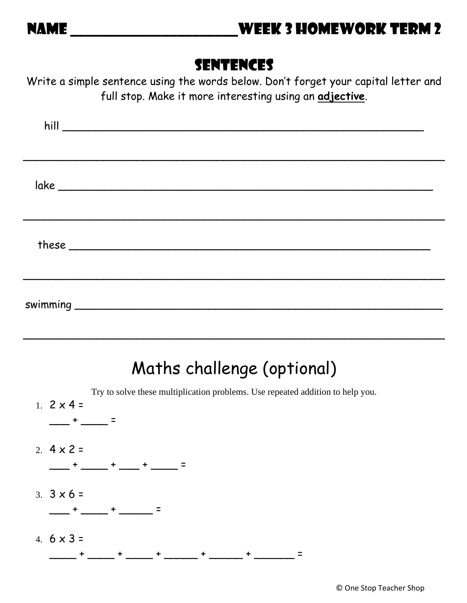## Sentences

Write a simple sentence using the words below. Don't forget your capital letter and full stop. Make it more interesting using an **adjective**.

## Maths challenge (optional)

\_\_\_\_\_\_\_\_\_\_\_\_\_\_\_\_\_\_\_\_\_\_\_\_\_\_\_\_\_\_\_\_\_\_\_\_\_\_\_\_\_\_\_\_\_\_\_\_\_\_\_\_\_\_\_\_\_\_\_\_\_\_\_

Try to solve these multiplication problems. Use repeated addition to help you. 1.  $2 \times 4 =$  $-$  +  $-$  = 2.  $4 \times 2 =$  $-$  +  $-$  +  $-$  +  $-$  +  $-$  = 3.  $3 \times 6 =$  $-$  +  $-$  +  $-$  =  $-$  = 4.  $6 \times 3 =$ \_\_\_\_ + \_\_\_\_ + \_\_\_\_ + \_\_\_\_\_ + \_\_\_\_\_ + \_\_\_\_\_\_ =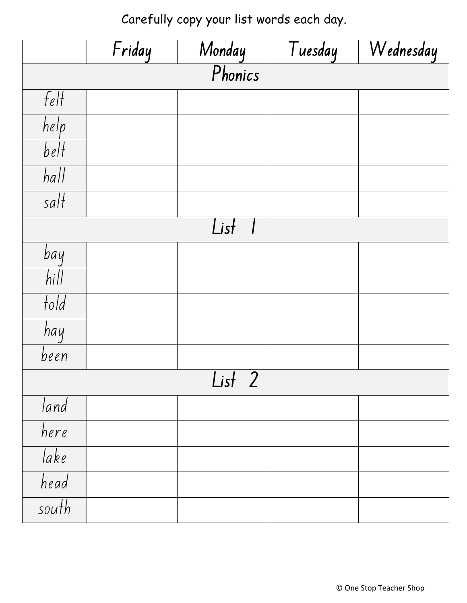Carefully copy your list words each day.

|                   | Friday |  | Tuesday | Wednesday |  |  |  |
|-------------------|--------|--|---------|-----------|--|--|--|
| Monday<br>Phonics |        |  |         |           |  |  |  |
| $f_{\ell}$        |        |  |         |           |  |  |  |
| help              |        |  |         |           |  |  |  |
| belt              |        |  |         |           |  |  |  |
| $\overline{half}$ |        |  |         |           |  |  |  |
| $\sqrt{3}$        |        |  |         |           |  |  |  |
| List              |        |  |         |           |  |  |  |
| bay               |        |  |         |           |  |  |  |
| $h$ ill           |        |  |         |           |  |  |  |
| fold              |        |  |         |           |  |  |  |
| hay               |        |  |         |           |  |  |  |
| been              |        |  |         |           |  |  |  |
| $List$ 2          |        |  |         |           |  |  |  |
| land              |        |  |         |           |  |  |  |
| here              |        |  |         |           |  |  |  |
| lake              |        |  |         |           |  |  |  |
| head              |        |  |         |           |  |  |  |
| south             |        |  |         |           |  |  |  |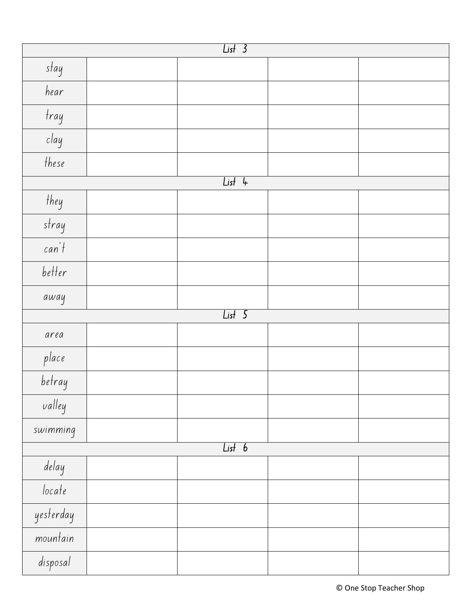| $List$ 3  |          |  |  |  |  |  |
|-----------|----------|--|--|--|--|--|
| stay      |          |  |  |  |  |  |
| hear      |          |  |  |  |  |  |
| tray      |          |  |  |  |  |  |
| clay      |          |  |  |  |  |  |
| these     |          |  |  |  |  |  |
| $List$ 4  |          |  |  |  |  |  |
| they      |          |  |  |  |  |  |
| stray     |          |  |  |  |  |  |
| can't     |          |  |  |  |  |  |
| better    |          |  |  |  |  |  |
| away      |          |  |  |  |  |  |
|           | $List$ 5 |  |  |  |  |  |
| area      |          |  |  |  |  |  |
| place     |          |  |  |  |  |  |
| betray    |          |  |  |  |  |  |
| valley    |          |  |  |  |  |  |
| swimming  |          |  |  |  |  |  |
| List 6    |          |  |  |  |  |  |
| delay     |          |  |  |  |  |  |
| locate    |          |  |  |  |  |  |
| yesterday |          |  |  |  |  |  |
| mountain  |          |  |  |  |  |  |
| disposal  |          |  |  |  |  |  |